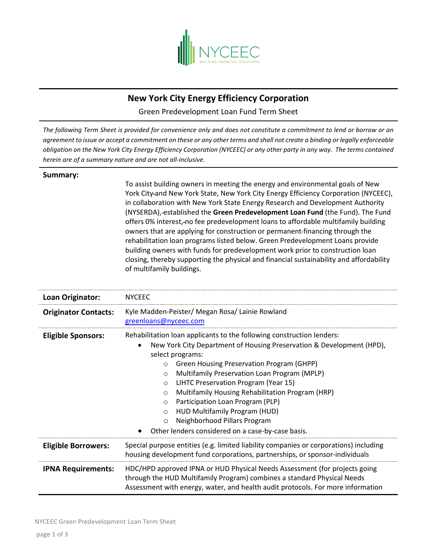

## **New York City Energy Efficiency Corporation**

Green Predevelopment Loan Fund Term Sheet

*The following Term Sheet is provided for convenience only and does not constitute a commitment to lend or borrow or an agreement to issue or accept a commitment on these or any other terms and shall not create a binding or legally enforceable obligation on the New York City Energy Efficiency Corporation (NYCEEC) or any other party in any way. The terms contained herein are of a summary nature and are not all-inclusive.* 

## **Summary:**

To assist building owners in meeting the energy and environmental goals of New York City and New York State, New York City Energy Efficiency Corporation (NYCEEC), in collaboration with New York State Energy Research and Development Authority (NYSERDA), established the **Green Predevelopment Loan Fund** (the Fund). The Fund offers 0% interest, no fee predevelopment loans to affordable multifamily building owners that are applying for construction or permanent financing through the rehabilitation loan programs listed below. Green Predevelopment Loans provide building owners with funds for predevelopment work prior to construction loan closing, thereby supporting the physical and financial sustainability and affordability of multifamily buildings.

| Loan Originator:            | <b>NYCEEC</b>                                                                                                                                                                                                                                                                                                                                                                                                                                                                                                                                                                                      |  |  |  |  |  |
|-----------------------------|----------------------------------------------------------------------------------------------------------------------------------------------------------------------------------------------------------------------------------------------------------------------------------------------------------------------------------------------------------------------------------------------------------------------------------------------------------------------------------------------------------------------------------------------------------------------------------------------------|--|--|--|--|--|
| <b>Originator Contacts:</b> | Kyle Madden-Peister/ Megan Rosa/ Lainie Rowland<br>greenloans@nyceec.com                                                                                                                                                                                                                                                                                                                                                                                                                                                                                                                           |  |  |  |  |  |
| <b>Eligible Sponsors:</b>   | Rehabilitation loan applicants to the following construction lenders:<br>New York City Department of Housing Preservation & Development (HPD),<br>select programs:<br>Green Housing Preservation Program (GHPP)<br>$\circ$<br>Multifamily Preservation Loan Program (MPLP)<br>$\circ$<br>LIHTC Preservation Program (Year 15)<br>$\circ$<br>Multifamily Housing Rehabilitation Program (HRP)<br>$\circ$<br>Participation Loan Program (PLP)<br>$\circ$<br>HUD Multifamily Program (HUD)<br>$\circ$<br>Neighborhood Pillars Program<br>$\circ$<br>Other lenders considered on a case-by-case basis. |  |  |  |  |  |
| <b>Eligible Borrowers:</b>  | Special purpose entities (e.g. limited liability companies or corporations) including<br>housing development fund corporations, partnerships, or sponsor-individuals                                                                                                                                                                                                                                                                                                                                                                                                                               |  |  |  |  |  |
| <b>IPNA Requirements:</b>   | HDC/HPD approved IPNA or HUD Physical Needs Assessment (for projects going<br>through the HUD Multifamily Program) combines a standard Physical Needs<br>Assessment with energy, water, and health audit protocols. For more information                                                                                                                                                                                                                                                                                                                                                           |  |  |  |  |  |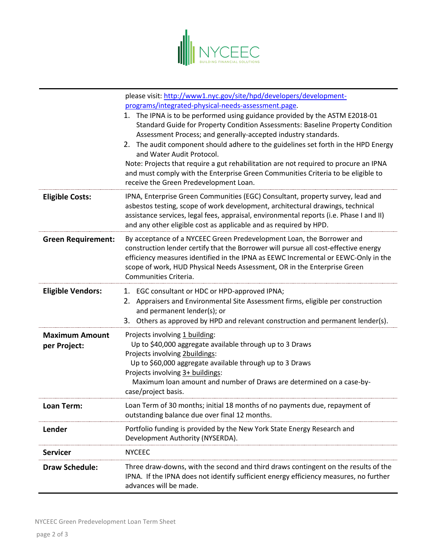

|                                       | please visit: http://www1.nyc.gov/site/hpd/developers/development-                                                                                                                                                                                                                                                                                                                                                                                                                                                                                                                                                              |
|---------------------------------------|---------------------------------------------------------------------------------------------------------------------------------------------------------------------------------------------------------------------------------------------------------------------------------------------------------------------------------------------------------------------------------------------------------------------------------------------------------------------------------------------------------------------------------------------------------------------------------------------------------------------------------|
|                                       | programs/integrated-physical-needs-assessment.page.<br>1. The IPNA is to be performed using guidance provided by the ASTM E2018-01<br>Standard Guide for Property Condition Assessments: Baseline Property Condition<br>Assessment Process; and generally-accepted industry standards.<br>2. The audit component should adhere to the guidelines set forth in the HPD Energy<br>and Water Audit Protocol.<br>Note: Projects that require a gut rehabilitation are not required to procure an IPNA<br>and must comply with the Enterprise Green Communities Criteria to be eligible to<br>receive the Green Predevelopment Loan. |
| <b>Eligible Costs:</b>                | IPNA, Enterprise Green Communities (EGC) Consultant, property survey, lead and<br>asbestos testing, scope of work development, architectural drawings, technical<br>assistance services, legal fees, appraisal, environmental reports (i.e. Phase I and II)<br>and any other eligible cost as applicable and as required by HPD.                                                                                                                                                                                                                                                                                                |
| <b>Green Requirement:</b>             | By acceptance of a NYCEEC Green Predevelopment Loan, the Borrower and<br>construction lender certify that the Borrower will pursue all cost-effective energy<br>efficiency measures identified in the IPNA as EEWC Incremental or EEWC-Only in the<br>scope of work, HUD Physical Needs Assessment, OR in the Enterprise Green<br>Communities Criteria.                                                                                                                                                                                                                                                                         |
| <b>Eligible Vendors:</b>              | 1. EGC consultant or HDC or HPD-approved IPNA;<br>2. Appraisers and Environmental Site Assessment firms, eligible per construction<br>and permanent lender(s); or<br>3. Others as approved by HPD and relevant construction and permanent lender(s).                                                                                                                                                                                                                                                                                                                                                                            |
| <b>Maximum Amount</b><br>per Project: | Projects involving 1 building:<br>Up to \$40,000 aggregate available through up to 3 Draws<br>Projects involving 2buildings:<br>Up to \$60,000 aggregate available through up to 3 Draws<br>Projects involving 3+ buildings:<br>Maximum loan amount and number of Draws are determined on a case-by-<br>case/project basis.                                                                                                                                                                                                                                                                                                     |
| Loan Term:                            | Loan Term of 30 months; initial 18 months of no payments due, repayment of<br>outstanding balance due over final 12 months.                                                                                                                                                                                                                                                                                                                                                                                                                                                                                                     |
| Lender                                | Portfolio funding is provided by the New York State Energy Research and<br>Development Authority (NYSERDA).                                                                                                                                                                                                                                                                                                                                                                                                                                                                                                                     |
| <b>Servicer</b>                       | <b>NYCEEC</b>                                                                                                                                                                                                                                                                                                                                                                                                                                                                                                                                                                                                                   |
| <b>Draw Schedule:</b>                 | Three draw-downs, with the second and third draws contingent on the results of the<br>IPNA. If the IPNA does not identify sufficient energy efficiency measures, no further<br>advances will be made.                                                                                                                                                                                                                                                                                                                                                                                                                           |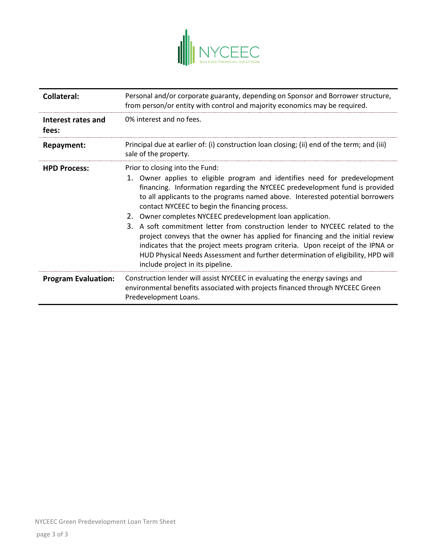

| <b>Collateral:</b>          | Personal and/or corporate guaranty, depending on Sponsor and Borrower structure,<br>from person/or entity with control and majority economics may be required.                                                                                                                                                                                                                                                                                                                                                                                                                                                                                                                                                                                                               |
|-----------------------------|------------------------------------------------------------------------------------------------------------------------------------------------------------------------------------------------------------------------------------------------------------------------------------------------------------------------------------------------------------------------------------------------------------------------------------------------------------------------------------------------------------------------------------------------------------------------------------------------------------------------------------------------------------------------------------------------------------------------------------------------------------------------------|
| Interest rates and<br>fees: | 0% interest and no fees.                                                                                                                                                                                                                                                                                                                                                                                                                                                                                                                                                                                                                                                                                                                                                     |
| Repayment:                  | Principal due at earlier of: (i) construction loan closing; (ii) end of the term; and (iii)<br>sale of the property.                                                                                                                                                                                                                                                                                                                                                                                                                                                                                                                                                                                                                                                         |
| <b>HPD Process:</b>         | Prior to closing into the Fund:<br>1. Owner applies to eligible program and identifies need for predevelopment<br>financing. Information regarding the NYCEEC predevelopment fund is provided<br>to all applicants to the programs named above. Interested potential borrowers<br>contact NYCEEC to begin the financing process.<br>2. Owner completes NYCEEC predevelopment loan application.<br>3. A soft commitment letter from construction lender to NYCEEC related to the<br>project conveys that the owner has applied for financing and the initial review<br>indicates that the project meets program criteria. Upon receipt of the IPNA or<br>HUD Physical Needs Assessment and further determination of eligibility, HPD will<br>include project in its pipeline. |
| <b>Program Evaluation:</b>  | Construction lender will assist NYCEEC in evaluating the energy savings and<br>environmental benefits associated with projects financed through NYCEEC Green<br>Predevelopment Loans.                                                                                                                                                                                                                                                                                                                                                                                                                                                                                                                                                                                        |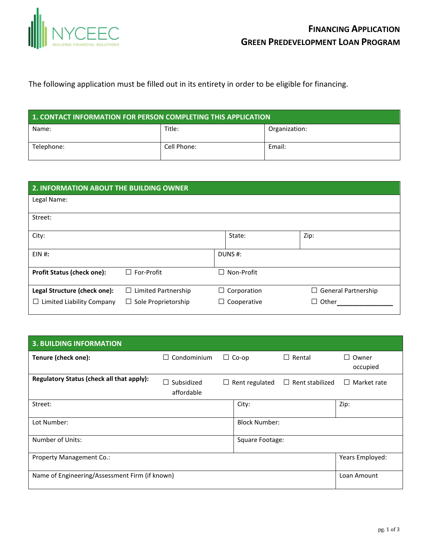

The following application must be filled out in its entirety in order to be eligible for financing.

| $\,$ 1. CONTACT INFORMATION FOR PERSON COMPLETING THIS APPLICATION $\,$ |             |               |  |  |  |  |
|-------------------------------------------------------------------------|-------------|---------------|--|--|--|--|
| Name:                                                                   | Title:      | Organization: |  |  |  |  |
| Telephone:                                                              | Cell Phone: | Email:        |  |  |  |  |

| 2. INFORMATION ABOUT THE BUILDING OWNER |                            |  |             |                            |  |  |
|-----------------------------------------|----------------------------|--|-------------|----------------------------|--|--|
| Legal Name:                             |                            |  |             |                            |  |  |
| Street:                                 |                            |  |             |                            |  |  |
| City:                                   |                            |  | State:      | Zip:                       |  |  |
| $EIN$ #:                                |                            |  | DUNS#:      |                            |  |  |
| <b>Profit Status (check one):</b>       | $\Box$ For-Profit          |  | Non-Profit  |                            |  |  |
| Legal Structure (check one):            | $\Box$ Limited Partnership |  | Corporation | $\Box$ General Partnership |  |  |
| $\Box$ Limited Liability Company        | $\Box$ Sole Proprietorship |  | Cooperative | $\Box$<br>Other            |  |  |

| <b>3. BUILDING INFORMATION</b>                 |                                         |                      |                 |                            |                        |  |  |  |
|------------------------------------------------|-----------------------------------------|----------------------|-----------------|----------------------------|------------------------|--|--|--|
| Tenure (check one):                            | Condominium<br>$\perp$                  |                      | $\Box$ Co-op    | Rental<br>$\perp$          | Owner<br>H<br>occupied |  |  |  |
| Regulatory Status (check all that apply):      | П<br>Subsidized<br>$\Box$<br>affordable |                      | Rent regulated  | Rent stabilized<br>$\perp$ | Market rate<br>$\perp$ |  |  |  |
| Street:                                        |                                         |                      | City:           |                            | Zip:                   |  |  |  |
| Lot Number:                                    |                                         | <b>Block Number:</b> |                 |                            |                        |  |  |  |
| Number of Units:                               |                                         |                      | Square Footage: |                            |                        |  |  |  |
| Property Management Co.:                       |                                         |                      |                 | Years Employed:            |                        |  |  |  |
| Name of Engineering/Assessment Firm (if known) |                                         |                      |                 | Loan Amount                |                        |  |  |  |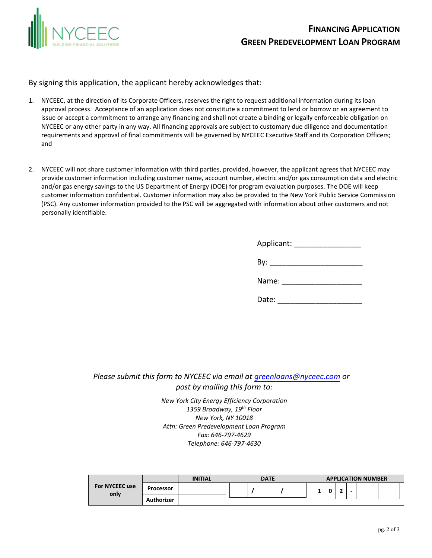

By signing this application, the applicant hereby acknowledges that:

- 1. NYCEEC, at the direction of its Corporate Officers, reserves the right to request additional information during its loan approval process. Acceptance of an application does not constitute a commitment to lend or borrow or an agreement to issue or accept a commitment to arrange any financing and shall not create a binding or legally enforceable obligation on NYCEEC or any other party in any way. All financing approvals are subject to customary due diligence and documentation requirements and approval of final commitments will be governed by NYCEEC Executive Staff and its Corporation Officers; and
- 2. NYCEEC will not share customer information with third parties, provided, however, the applicant agrees that NYCEEC may provide customer information including customer name, account number, electric and/or gas consumption data and electric and/or gas energy savings to the US Department of Energy (DOE) for program evaluation purposes. The DOE will keep customer information confidential. Customer information may also be provided to the New York Public Service Commission (PSC). Any customer information provided to the PSC will be aggregated with information about other customers and not personally identifiable.

Applicant: \_\_\_\_\_\_\_\_\_\_\_\_\_\_\_\_

By: \_\_\_\_\_\_\_\_\_\_\_\_\_\_\_\_\_\_\_\_\_\_

Name: \_\_\_\_\_\_\_\_\_\_\_\_\_\_\_\_\_\_\_

Date: \_\_\_\_\_\_\_\_\_\_\_\_\_\_\_\_\_\_\_\_

*Please submit this form to NYCEEC via email at greenloans@nyceec.com or post by mailing this form to:* 

> *New York City Energy Efficiency Corporation 1359 Broadway, 19 th Floor New York, NY 10018 Attn: Green Predevelopment Loan Program Fax: 646-797-4629 Telephone: 646-797-4630*

|                               |                  | <b>INITIAL</b> |  |  | <b>DATE</b> |  |  |  |   |  | <b>APPLICATION NUMBER</b> |  |  |
|-------------------------------|------------------|----------------|--|--|-------------|--|--|--|---|--|---------------------------|--|--|
| <b>For NYCEEC use</b><br>only | <b>Processor</b> |                |  |  |             |  |  |  | ٠ |  |                           |  |  |
|                               | Authorizer       |                |  |  |             |  |  |  |   |  |                           |  |  |